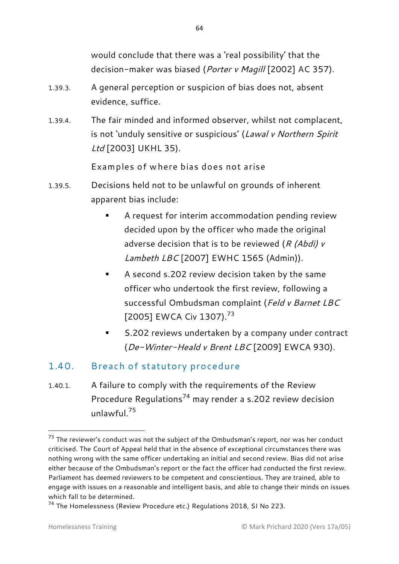would conclude that there was a 'real possibility' that the decision-maker was biased (*Porter v Magill* [2002] AC 357).

- 1.39.3. A general perception or suspicion of bias does not, absent evidence, suffice.
- 1.39.4. The fair minded and informed observer, whilst not complacent, is not 'unduly sensitive or suspicious' (*Lawal v Northern Spirit Ltd* [2003] UKHL 35).

Examples of where bias does not arise

- 1.39.5. Decisions held not to be unlawful on grounds of inherent apparent bias include:
	- A request for interim accommodation pending review decided upon by the officer who made the original adverse decision that is to be reviewed (*R (Abdi) v Lambeth LBC* [2007] EWHC 1565 (Admin)).
	- A second s.202 review decision taken by the same officer who undertook the first review, following a successful Ombudsman complaint (*Feld v Barnet LBC* [2005] EWCA Civ 1307).<sup>73</sup>
	- S.202 reviews undertaken by a company under contract (*De-Winter-Heald v Brent LBC* [2009] EWCA 930).

### 1.40. Breach of statutory procedure

1.40.1. A failure to comply with the requirements of the Review Procedure Regulations<sup>74</sup> may render a s.202 review decision unlawful. $75$ 

 $73$  The reviewer's conduct was not the subject of the Ombudsman's report, nor was her conduct criticised. The Court of Appeal held that in the absence of exceptional circumstances there was nothing wrong with the same officer undertaking an initial and second review. Bias did not arise either because of the Ombudsman's report or the fact the officer had conducted the first review. Parliament has deemed reviewers to be competent and conscientious. They are trained, able to engage with issues on a reasonable and intelligent basis, and able to change their minds on issues which fall to be determined.

<sup>74</sup> The Homelessness (Review Procedure etc.) Regulations 2018, SI No 223.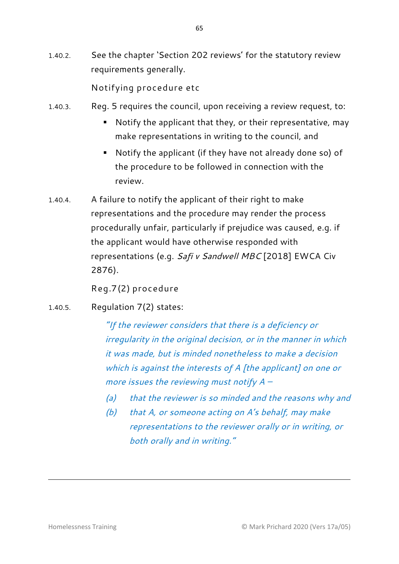1.40.2. See the chapter 'Section 202 reviews' for the statutory review requirements generally.

Notifying procedure etc

- 1.40.3. Reg. 5 requires the council, upon receiving a review request, to:
	- Notify the applicant that they, or their representative, may make representations in writing to the council, and
	- Notify the applicant (if they have not already done so) of the procedure to be followed in connection with the review.
- 1.40.4. A failure to notify the applicant of their right to make representations and the procedure may render the process procedurally unfair, particularly if prejudice was caused, e.g. if the applicant would have otherwise responded with representations (e.g. *Safi v Sandwell MBC* [2018] EWCA Civ 2876).

Reg.7(2) procedure

1.40.5. Regulation 7(2) states:

*"If the reviewer considers that there is a deficiency or irregularity in the original decision, or in the manner in which it was made, but is minded nonetheless to make a decision which is against the interests of A [the applicant] on one or more issues the reviewing must notify A –*

- *(a) that the reviewer is so minded and the reasons why and*
- *(b) that A, or someone acting on A's behalf, may make representations to the reviewer orally or in writing, or both orally and in writing."*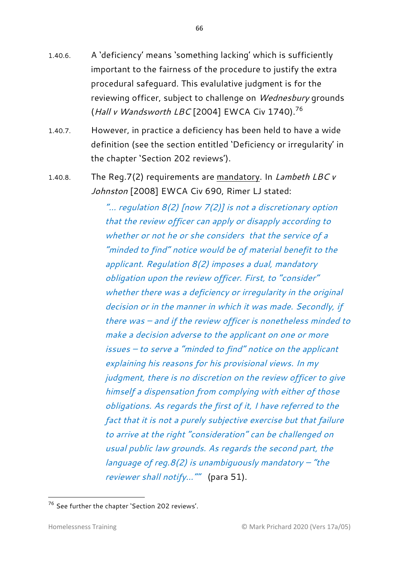- 1.40.6. A 'deficiency' means 'something lacking' which is sufficiently important to the fairness of the procedure to justify the extra procedural safeguard. This evalulative judgment is for the reviewing officer, subject to challenge on *Wednesbury* grounds (*Hall v Wandsworth LBC* [2004] EWCA Civ 1740).<sup>76</sup>
- 1.40.7. However, in practice a deficiency has been held to have a wide definition (see the section entitled 'Deficiency or irregularity' in the chapter 'Section 202 reviews').
- 1.40.8. The Reg.7(2) requirements are mandatory. In *Lambeth LBC v Johnston* [2008] EWCA Civ 690, Rimer LJ stated:

*"… regulation 8(2) [now 7(2)] is not a discretionary option that the review officer can apply or disapply according to whether or not he or she considers that the service of a "minded to find" notice would be of material benefit to the applicant. Regulation 8(2) imposes a dual, mandatory obligation upon the review officer. First, to "consider" whether there was a deficiency or irregularity in the original decision or in the manner in which it was made. Secondly, if there was – and if the review officer is nonetheless minded to make a decision adverse to the applicant on one or more issues – to serve a "minded to find" notice on the applicant explaining his reasons for his provisional views. In my judgment, there is no discretion on the review officer to give himself a dispensation from complying with either of those obligations. As regards the first of it, I have referred to the fact that it is not a purely subjective exercise but that failure to arrive at the right "consideration" can be challenged on usual public law grounds. As regards the second part, the language of reg.8(2) is unambiguously mandatory – "the reviewer shall notify…""* (para 51).

<sup>76</sup> See further the chapter 'Section 202 reviews'.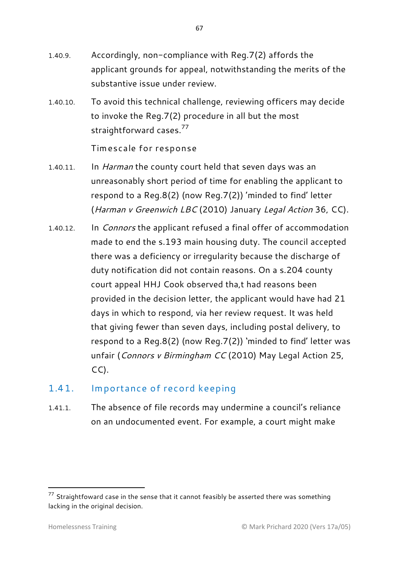- 1.40.9. Accordingly, non-compliance with Reg.7(2) affords the applicant grounds for appeal, notwithstanding the merits of the substantive issue under review.
- 1.40.10. To avoid this technical challenge, reviewing officers may decide to invoke the Reg.7(2) procedure in all but the most straightforward cases.<sup>77</sup>

Timescale for response

- 1.40.11. In *Harman* the county court held that seven days was an unreasonably short period of time for enabling the applicant to respond to a Reg.8(2) (now Reg.7(2)) 'minded to find' letter (*Harman v Greenwich LBC* (2010) January *Legal Action* 36, CC).
- 1.40.12. In *Connors* the applicant refused a final offer of accommodation made to end the s.193 main housing duty. The council accepted there was a deficiency or irregularity because the discharge of duty notification did not contain reasons. On a s.204 county court appeal HHJ Cook observed tha,t had reasons been provided in the decision letter, the applicant would have had 21 days in which to respond, via her review request. It was held that giving fewer than seven days, including postal delivery, to respond to a Reg.8(2) (now Reg.7(2)) 'minded to find' letter was unfair (*Connors v Birmingham CC* (2010) May Legal Action 25,  $CC$ ).

### 1.41. Importance of record keeping

1.41.1. The absence of file records may undermine a council's reliance on an undocumented event. For example, a court might make

 $77$  Straightfoward case in the sense that it cannot feasibly be asserted there was something lacking in the original decision.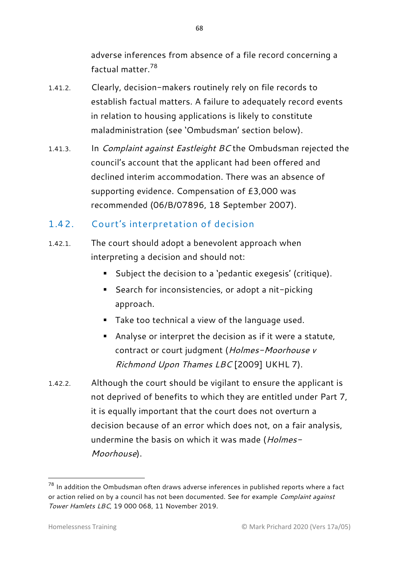adverse inferences from absence of a file record concerning a factual matter. 78

- 1.41.2. Clearly, decision-makers routinely rely on file records to establish factual matters. A failure to adequately record events in relation to housing applications is likely to constitute maladministration (see 'Ombudsman' section below).
- 1.41.3. In *Complaint against Eastleight BC* the Ombudsman rejected the council's account that the applicant had been offered and declined interim accommodation. There was an absence of supporting evidence. Compensation of £3,000 was recommended (06/B/07896, 18 September 2007).

## 1.42. Court's interpretation of decision

- 1.42.1. The court should adopt a benevolent approach when interpreting a decision and should not:
	- Subject the decision to a 'pedantic exegesis' (critique).
	- Search for inconsistencies, or adopt a nit-picking approach.
	- Take too technical a view of the language used.
	- Analyse or interpret the decision as if it were a statute, contract or court judgment (*Holmes-Moorhouse v Richmond Upon Thames LBC* [2009] UKHL 7).
- 1.42.2. Although the court should be vigilant to ensure the applicant is not deprived of benefits to which they are entitled under Part 7, it is equally important that the court does not overturn a decision because of an error which does not, on a fair analysis, undermine the basis on which it was made (*Holmes-Moorhouse*).

1

 $78$  In addition the Ombudsman often draws adverse inferences in published reports where a fact or action relied on by a council has not been documented. See for example *Complaint against Tower Hamlets LBC*, 19 000 068, 11 November 2019.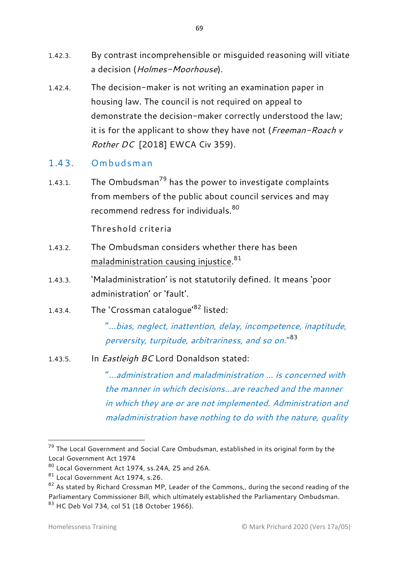- 1.42.3. By contrast incomprehensible or misguided reasoning will vitiate a decision (*Holmes-Moorhouse*).
- 1.42.4. The decision-maker is not writing an examination paper in housing law. The council is not required on appeal to demonstrate the decision-maker correctly understood the law; it is for the applicant to show they have not (*Freeman-Roach v Rother DC* [2018] EWCA Civ 359).
- 1.43. Ombudsman
- 1.43.1. The Ombudsman<sup>79</sup> has the power to investigate complaints from members of the public about council services and may recommend redress for individuals <sup>80</sup>

Threshold criteria

- 1.43.2. The Ombudsman considers whether there has been maladministration causing injustice. 81
- 1.43.3. 'Maladministration' is not statutorily defined. It means 'poor administration' or 'fault'.
- 1.43.4. The 'Crossman catalogue'<sup>82</sup> listed:

"...*bias, neglect, inattention, delay, incompetence, inaptitude, perversity, turpitude, arbitrariness, and so on*."<sup>83</sup>

1.43.5. In *Eastleigh BC* Lord Donaldson stated:

"*...administration and maladministration ... is concerned with the manner in which decisions...are reached and the manner in which they are or are not implemented. Administration and maladministration have nothing to do with the nature, quality* 

 $79$  The Local Government and Social Care Ombudsman, established in its original form by the Local Government Act 1974

<sup>80</sup> Local Government Act 1974, ss.24A, 25 and 26A.

<sup>81</sup> Local Government Act 1974, s.26.

 $82$  As stated by Richard Crossman MP, Leader of the Commons,, during the second reading of the Parliamentary Commissioner Bill, which ultimately established the Parliamentary Ombudsman. <sup>83</sup> HC Deb Vol 734, col 51 (18 October 1966).